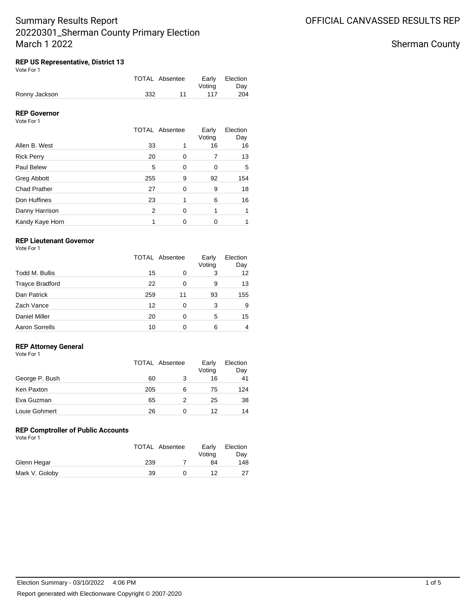# **REP US Representative, District 13**

| Vote For 1 |  |
|------------|--|
|            |  |

|               | TOTAL Absentee | Votina | Early Election<br>Dav |
|---------------|----------------|--------|-----------------------|
| Ronny Jackson | 332            | 117    | 204                   |

# **REP Governor**

Vote For 1

|                     |     | <b>TOTAL Absentee</b> | Early<br>Voting | Election<br>Day |
|---------------------|-----|-----------------------|-----------------|-----------------|
| Allen B. West       | 33  |                       | 16              | 16              |
| <b>Rick Perry</b>   | 20  | 0                     | 7               | 13              |
| Paul Belew          | 5   | 0                     | 0               | 5               |
| Greg Abbott         | 255 | 9                     | 92              | 154             |
| <b>Chad Prather</b> | 27  | $\Omega$              | 9               | 18              |
| Don Huffines        | 23  |                       | 6               | 16              |
| Danny Harrison      | 2   | $\Omega$              | 1               |                 |
| Kandy Kaye Horn     |     | 0                     | 0               |                 |

# **REP Lieutenant Governor**

Vote For 1

|                        | <b>TOTAL Absentee</b> |    | Early<br>Voting | Election<br>Day |
|------------------------|-----------------------|----|-----------------|-----------------|
| Todd M. Bullis         | 15                    | O  | 3               | 12              |
| <b>Trayce Bradford</b> | 22                    | 0  | 9               | 13              |
| Dan Patrick            | 259                   | 11 | 93              | 155             |
| Zach Vance             | 12                    | 0  | 3               | 9               |
| <b>Daniel Miller</b>   | 20                    | 0  | 5               | 15              |
| <b>Aaron Sorrells</b>  | 10                    |    | 6               | 4               |

### **REP Attorney General**

|  | Vote For 1 |  |  |
|--|------------|--|--|
|--|------------|--|--|

|                | TOTAL Absentee |   | Early<br>Voting | Election<br>Day |
|----------------|----------------|---|-----------------|-----------------|
| George P. Bush | 60             |   | 16              | 41              |
| Ken Paxton     | 205            | 6 | 75              | 124             |
| Eva Guzman     | 65             | 2 | 25              | 38              |
| Louie Gohmert  | 26             |   | 12              | 14              |

#### **REP Comptroller of Public Accounts** Vote For 1

|                | TOTAL Absentee | Early<br>Voting | Election<br>Dav |
|----------------|----------------|-----------------|-----------------|
| Glenn Hegar    | 239            | 84              | 148             |
| Mark V. Goloby | 39             | 12              | 27              |

Sherman County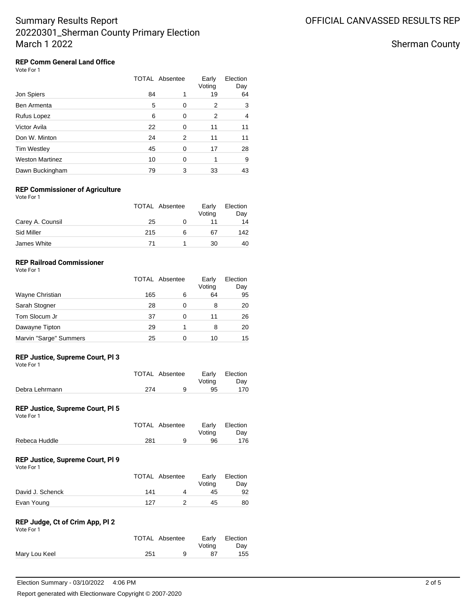Sherman County

#### **REP Comm General Land Office** Vote For 1

|                        |    | <b>TOTAL Absentee</b> | Early<br>Voting | Election<br>Day |
|------------------------|----|-----------------------|-----------------|-----------------|
| Jon Spiers             | 84 | 1                     | 19              | 64              |
| Ben Armenta            | 5  | 0                     | 2               | 3               |
| Rufus Lopez            | 6  | 0                     | 2               | 4               |
| Victor Avila           | 22 | 0                     | 11              | 11              |
| Don W. Minton          | 24 | 2                     | 11              | 11              |
| <b>Tim Westley</b>     | 45 | 0                     | 17              | 28              |
| <b>Weston Martinez</b> | 10 | $\Omega$              |                 | 9               |
| Dawn Buckingham        | 79 | 3                     | 33              | 43              |

### **REP Commissioner of Agriculture**

Vote For 1

|                  |     | TOTAL Absentee | Early<br>Voting | Election<br>Day |
|------------------|-----|----------------|-----------------|-----------------|
| Carey A. Counsil | 25  |                |                 | 14              |
| Sid Miller       | 215 | 6              | 67              | 142             |
| James White      | 71  |                | 30              | 40              |

## **REP Railroad Commissioner**

|                        | TOTAL Absentee |   | Early<br>Voting | Election<br>Day |
|------------------------|----------------|---|-----------------|-----------------|
| Wayne Christian        | 165            | 6 | 64              | 95              |
| Sarah Stogner          | 28             |   | 8               | 20              |
| Tom Slocum Jr          | 37             |   | 11              | 26              |
| Dawayne Tipton         | 29             |   | 8               | 20              |
| Marvin "Sarge" Summers | 25             |   | 10              | 15              |

#### **REP Justice, Supreme Court, Pl 3** Vote For 1

|                | TOTAL Absentee | Votina | Early Election<br>Dav |
|----------------|----------------|--------|-----------------------|
| Debra Lehrmann | 274            | 95     | 170                   |

#### **REP Justice, Supreme Court, Pl 5** Vote For 1

|               | TOTAL Absentee | Votina | Early Election<br>Dav |
|---------------|----------------|--------|-----------------------|
| Rebeca Huddle | 281            | 96     | 176                   |

## **REP Justice, Supreme Court, Pl 9**

| Vote For 1       | TOTAL Absentee |   | Early<br>Voting | Election<br>Day |
|------------------|----------------|---|-----------------|-----------------|
| David J. Schenck | 141            | Δ | 45              | 92              |
| Evan Young       | 127            |   | 45              | 80              |

## **REP Judge, Ct of Crim App, Pl 2**

| Vote For 1 |  |
|------------|--|
|            |  |

|               | <b>TOTAL Absentee</b> |   | Votina | Early Election<br>Dav |
|---------------|-----------------------|---|--------|-----------------------|
| Mary Lou Keel | 251                   | a | 87     | 155                   |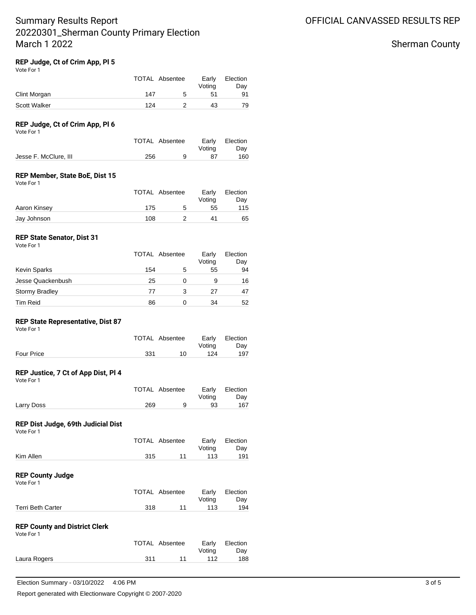# Sherman County

#### **REP Judge, Ct of Crim App, Pl 5** Vote For 1

|              | TOTAL Absentee |   | Early<br>Votina | Election<br>Day |
|--------------|----------------|---|-----------------|-----------------|
| Clint Morgan | 147            | 5 | 51              | 91              |
| Scott Walker | 124            |   | 43              | 79              |

## **REP Judge, Ct of Crim App, Pl 6**

Vote For 1

|                       | TOTAL Absentee | Votina | Early Election<br>Dav |
|-----------------------|----------------|--------|-----------------------|
| Jesse F. McClure, III | 256            | 87     | 160                   |

### **REP Member, State BoE, Dist 15**

Vote For 1

|              | TOTAL Absentee |   | Early<br>Votina | Election<br>Dav |
|--------------|----------------|---|-----------------|-----------------|
| Aaron Kinsey | 175            | 5 | 55              | 115             |
| Jay Johnson  | 108            |   | 41              | 65              |

### **REP State Senator, Dist 31**

|                       |     | <b>TOTAL Absentee</b> |    | Election<br>Day |
|-----------------------|-----|-----------------------|----|-----------------|
| <b>Kevin Sparks</b>   | 154 | 5                     | 55 | 94              |
| Jesse Quackenbush     | 25  |                       | 9  | 16              |
| <b>Stormy Bradley</b> | 77  | 3                     | 27 | 47              |
| <b>Tim Reid</b>       | 86  |                       | 34 | 52              |

### **REP State Representative, Dist 87**

| Vote For 1 |                |    |                 |                 |
|------------|----------------|----|-----------------|-----------------|
|            | TOTAL Absentee |    | Early<br>Votina | Election<br>Day |
| Four Price | 331            | 10 | 124             | 197             |

#### **REP Justice, 7 Ct of App Dist, Pl 4** Vote For 1

|            | <b>TOTAL Absentee</b> | Votina | Early Election<br>Dav |
|------------|-----------------------|--------|-----------------------|
| Larry Doss | 269                   | 93     | 167                   |

#### **REP Dist Judge, 69th Judicial Dist** Vote For 1

|           | TOTAL Absentee |    | Voting | Early Election<br>Dav |
|-----------|----------------|----|--------|-----------------------|
| Kim Allen | 315            | 11 | 113    | 191                   |
|           |                |    |        |                       |

### **REP County Judge** Vote For 1

|                          |      | TOTAL Absentee |        | Early Election |
|--------------------------|------|----------------|--------|----------------|
|                          |      |                | Votina | Day            |
| <b>Terri Beth Carter</b> | -318 | 11             | 113    | 194            |

### **REP County and District Clerk**

| Vote For 1   |     |                |                 |                 |
|--------------|-----|----------------|-----------------|-----------------|
|              |     | TOTAL Absentee | Early<br>Votina | Election<br>Dav |
| Laura Rogers | 311 | 11             | 112             | 188             |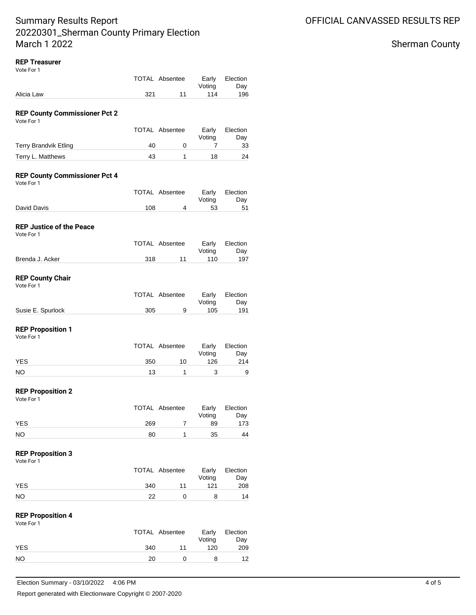## **REP Treasurer**

| Vote For 1                                          |           |                       |                 |                 |
|-----------------------------------------------------|-----------|-----------------------|-----------------|-----------------|
|                                                     |           | <b>TOTAL Absentee</b> | Early           | Election        |
| Alicia Law                                          | 321       | 11                    | Voting<br>114   | Day<br>196      |
|                                                     |           |                       |                 |                 |
| <b>REP County Commissioner Pct 2</b>                |           |                       |                 |                 |
| Vote For 1                                          |           |                       |                 |                 |
|                                                     |           | <b>TOTAL Absentee</b> | Early<br>Voting | Election<br>Day |
| <b>Terry Brandvik Etling</b>                        | 40        | 0                     | 7               | 33              |
| Terry L. Matthews                                   | 43        | 1                     | 18              | 24              |
| <b>REP County Commissioner Pct 4</b><br>Vote For 1  |           |                       |                 |                 |
|                                                     |           | <b>TOTAL Absentee</b> | Early<br>Voting | Election<br>Day |
| David Davis                                         | 108       | 4                     | 53              | 51              |
| <b>REP Justice of the Peace</b><br>Vote For 1       |           |                       |                 |                 |
|                                                     |           | <b>TOTAL Absentee</b> | Early           | Election        |
| Brenda J. Acker                                     | 318       | 11                    | Voting<br>110   | Day<br>197      |
| <b>REP County Chair</b>                             |           |                       |                 |                 |
| Vote For 1                                          |           |                       |                 |                 |
|                                                     |           | <b>TOTAL Absentee</b> | Early<br>Voting | Election<br>Day |
| Susie E. Spurlock                                   | 305       | 9                     | 105             | 191             |
| <b>REP Proposition 1</b><br>Vote For 1              |           |                       |                 |                 |
|                                                     |           | <b>TOTAL Absentee</b> | Early<br>Voting | Election<br>Day |
| YES                                                 | 350       | 10                    | 126             | 214             |
| NO.                                                 | 13        | 1                     | 3               | 9               |
| <b>REP Proposition 2</b><br>Vote For 1              |           |                       |                 |                 |
|                                                     |           | <b>TOTAL Absentee</b> | Early           | Election        |
| <b>YES</b>                                          | 269       | 7                     | Voting<br>89    | Day<br>173      |
|                                                     | 80        | 1                     |                 | 44              |
| <b>NO</b><br><b>REP Proposition 3</b><br>Vote For 1 |           |                       | 35              |                 |
|                                                     |           | <b>TOTAL Absentee</b> | Early<br>Voting | Election<br>Day |
| <b>YES</b><br><b>NO</b>                             | 340<br>22 | 11<br>0               | 121<br>8        | 208<br>14       |

#### **REP Proposition 4** Vote For 1

| 1 U U U U U | TOTAL Absentee |    | Early<br>Voting | Election<br>Day |
|-------------|----------------|----|-----------------|-----------------|
| <b>YES</b>  | 340            | 11 | 120             | 209             |
| NO.         | 20.            |    |                 | 12              |

# Sherman County